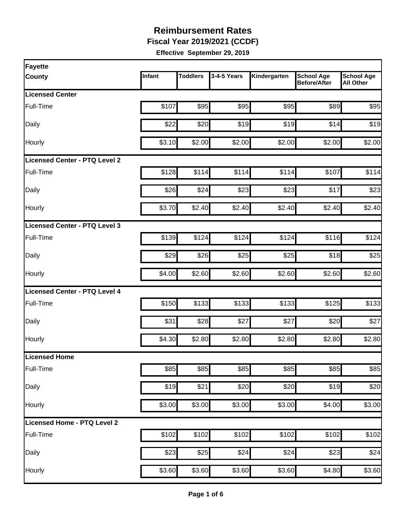**Fiscal Year 2019/2021 (CCDF)**

| Fayette                              |        |                 |             |              |                                          |                                       |
|--------------------------------------|--------|-----------------|-------------|--------------|------------------------------------------|---------------------------------------|
| <b>County</b>                        | Infant | <b>Toddlers</b> | 3-4-5 Years | Kindergarten | <b>School Age</b><br><b>Before/After</b> | <b>School Age</b><br><b>All Other</b> |
| <b>Licensed Center</b>               |        |                 |             |              |                                          |                                       |
| Full-Time                            | \$107  | \$95            | \$95        | \$95         | \$89                                     | \$95                                  |
| Daily                                | \$22   | \$20            | \$19        | \$19         | \$14                                     | \$19                                  |
| Hourly                               | \$3.10 | \$2.00          | \$2.00      | \$2.00       | \$2.00                                   | \$2.00                                |
| <b>Licensed Center - PTQ Level 2</b> |        |                 |             |              |                                          |                                       |
| Full-Time                            | \$128  | \$114           | \$114       | \$114        | \$107                                    | \$114                                 |
| Daily                                | \$26   | \$24            | \$23        | \$23         | \$17                                     | \$23                                  |
| Hourly                               | \$3.70 | \$2.40          | \$2.40      | \$2.40       | \$2.40                                   | \$2.40                                |
| Licensed Center - PTQ Level 3        |        |                 |             |              |                                          |                                       |
| Full-Time                            | \$139  | \$124           | \$124       | \$124        | \$116                                    | \$124                                 |
| Daily                                | \$29   | \$26            | \$25        | \$25         | \$18                                     | \$25                                  |
| Hourly                               | \$4.00 | \$2.60          | \$2.60      | \$2.60       | \$2.60                                   | \$2.60                                |
| Licensed Center - PTQ Level 4        |        |                 |             |              |                                          |                                       |
| Full-Time                            | \$150  | \$133           | \$133       | \$133        | \$125                                    | \$133                                 |
| Daily                                | \$31   | \$28            | \$27        | \$27         | \$20                                     | \$27                                  |
| Hourly                               | \$4.30 | \$2.80          | \$2.80      | \$2.80       | \$2.80                                   | \$2.80                                |
| Licensed Home                        |        |                 |             |              |                                          |                                       |
| Full-Time                            | \$85   | \$85            | \$85        | \$85         | \$85                                     | \$85                                  |
| Daily                                | \$19   | \$21            | \$20        | \$20         | \$19                                     | \$20                                  |
| Hourly                               | \$3.00 | \$3.00          | \$3.00      | \$3.00       | \$4.00                                   | \$3.00                                |
| Licensed Home - PTQ Level 2          |        |                 |             |              |                                          |                                       |
| Full-Time                            | \$102  | \$102           | \$102       | \$102        | \$102                                    | \$102                                 |
| Daily                                | \$23   | \$25            | \$24        | \$24         | \$23                                     | \$24                                  |
| Hourly                               | \$3.60 | \$3.60          | \$3.60      | \$3.60       | \$4.80                                   | \$3.60                                |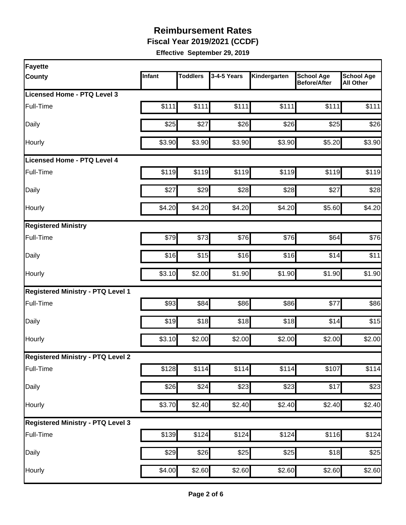**Fiscal Year 2019/2021 (CCDF)**

| Fayette                                  |        |                 |             |                    |                                          |                                       |
|------------------------------------------|--------|-----------------|-------------|--------------------|------------------------------------------|---------------------------------------|
| <b>County</b>                            | Infant | <b>Toddlers</b> | 3-4-5 Years | Kindergarten       | <b>School Age</b><br><b>Before/After</b> | <b>School Age</b><br><b>All Other</b> |
| Licensed Home - PTQ Level 3              |        |                 |             |                    |                                          |                                       |
| Full-Time                                | \$111  | \$111           | \$111       | \$111              | \$111                                    | \$111                                 |
| Daily                                    | \$25   | \$27            | \$26        | \$26               | \$25                                     | \$26                                  |
| Hourly                                   | \$3.90 | \$3.90          | \$3.90      | \$3.90             | \$5.20                                   | \$3.90                                |
| Licensed Home - PTQ Level 4              |        |                 |             |                    |                                          |                                       |
| Full-Time                                | \$119  | \$119           | \$119       | \$119              | \$119                                    | \$119                                 |
| Daily                                    | \$27   | \$29            | \$28        | \$28               | \$27                                     | \$28                                  |
| Hourly                                   | \$4.20 | \$4.20          | \$4.20      | \$4.20             | \$5.60                                   | \$4.20                                |
| <b>Registered Ministry</b>               |        |                 |             |                    |                                          |                                       |
| Full-Time                                | \$79   | \$73            | \$76        | \$76               | \$64                                     | \$76                                  |
| Daily                                    | \$16   | \$15            | \$16        | \$16               | \$14                                     | \$11                                  |
| Hourly                                   | \$3.10 | \$2.00          | \$1.90      | \$1.90             | \$1.90                                   | \$1.90                                |
| <b>Registered Ministry - PTQ Level 1</b> |        |                 |             |                    |                                          |                                       |
| Full-Time                                | \$93   | \$84            | \$86        | \$86               | \$77                                     | \$86                                  |
| Daily                                    | \$19   | \$18            | \$18        | \$18               | \$14                                     | \$15                                  |
| Hourly                                   | \$3.10 | \$2.00          | \$2.00      | \$2.00             | \$2.00                                   | \$2.00                                |
| <b>Registered Ministry - PTQ Level 2</b> |        |                 |             |                    |                                          |                                       |
| Full-Time                                | \$128  | \$114           | \$114       | \$114              | \$107                                    | \$114                                 |
| Daily                                    | \$26   | \$24            | \$23        | \$23               | \$17                                     | \$23                                  |
| Hourly                                   | \$3.70 | \$2.40          | \$2.40      | \$2.40             | \$2.40                                   | \$2.40                                |
| <b>Registered Ministry - PTQ Level 3</b> |        |                 |             |                    |                                          |                                       |
| Full-Time                                | \$139  | \$124           | \$124       | \$124              | \$116                                    | \$124                                 |
| Daily                                    | \$29   | \$26            | \$25        | \$25               | \$18                                     | \$25                                  |
| Hourly                                   | \$4.00 | \$2.60          | \$2.60      | $\overline{$2.60}$ | \$2.60                                   | \$2.60                                |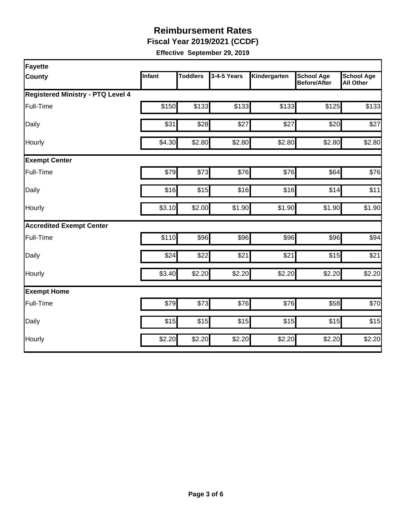**Fiscal Year 2019/2021 (CCDF)**

| Fayette                                  |        |                 |             |              |                                          |                                       |  |  |  |
|------------------------------------------|--------|-----------------|-------------|--------------|------------------------------------------|---------------------------------------|--|--|--|
| <b>County</b>                            | Infant | <b>Toddlers</b> | 3-4-5 Years | Kindergarten | <b>School Age</b><br><b>Before/After</b> | <b>School Age</b><br><b>All Other</b> |  |  |  |
| <b>Registered Ministry - PTQ Level 4</b> |        |                 |             |              |                                          |                                       |  |  |  |
| Full-Time                                | \$150  | \$133           | \$133       | \$133        | \$125                                    | \$133                                 |  |  |  |
| Daily                                    | \$31   | \$28            | \$27        | \$27         | \$20                                     | \$27                                  |  |  |  |
| Hourly                                   | \$4.30 | \$2.80          | \$2.80      | \$2.80       | \$2.80                                   | \$2.80                                |  |  |  |
| <b>Exempt Center</b>                     |        |                 |             |              |                                          |                                       |  |  |  |
| Full-Time                                | \$79   | \$73            | \$76        | \$76         | \$64                                     | \$76                                  |  |  |  |
| Daily                                    | \$16   | \$15            | \$16        | \$16         | \$14                                     | \$11                                  |  |  |  |
| Hourly                                   | \$3.10 | \$2.00          | \$1.90      | \$1.90       | \$1.90                                   | \$1.90                                |  |  |  |
| <b>Accredited Exempt Center</b>          |        |                 |             |              |                                          |                                       |  |  |  |
| Full-Time                                | \$110  | \$96            | \$96        | \$96         | \$96                                     | \$94                                  |  |  |  |
| Daily                                    | \$24   | \$22            | \$21        | \$21         | \$15                                     | \$21                                  |  |  |  |
| Hourly                                   | \$3.40 | \$2.20          | \$2.20      | \$2.20       | \$2.20                                   | \$2.20                                |  |  |  |
| <b>Exempt Home</b>                       |        |                 |             |              |                                          |                                       |  |  |  |
| Full-Time                                | \$79   | \$73            | \$76        | \$76         | \$58                                     | \$70                                  |  |  |  |
| Daily                                    | \$15   | \$15            | \$15        | \$15         | \$15                                     | \$15                                  |  |  |  |
| Hourly                                   | \$2.20 | \$2.20          | \$2.20      | \$2.20       | \$2.20                                   | \$2.20                                |  |  |  |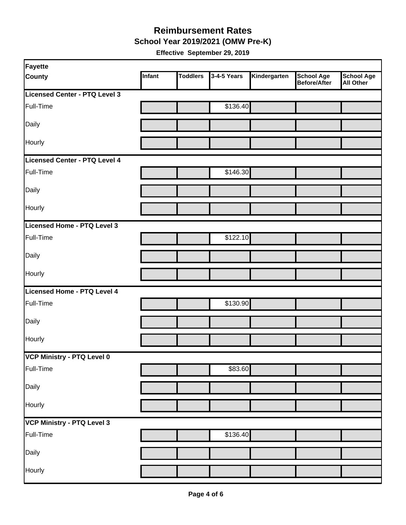**School Year 2019/2021 (OMW Pre-K)**

| Fayette                       |        |                 |             |              |                            |                         |
|-------------------------------|--------|-----------------|-------------|--------------|----------------------------|-------------------------|
| <b>County</b>                 | Infant | <b>Toddlers</b> | 3-4-5 Years | Kindergarten | School Age<br>Before/After | School Age<br>All Other |
| Licensed Center - PTQ Level 3 |        |                 |             |              |                            |                         |
| Full-Time                     |        |                 | \$136.40    |              |                            |                         |
| Daily                         |        |                 |             |              |                            |                         |
| Hourly                        |        |                 |             |              |                            |                         |
| Licensed Center - PTQ Level 4 |        |                 |             |              |                            |                         |
| Full-Time                     |        |                 | \$146.30    |              |                            |                         |
| Daily                         |        |                 |             |              |                            |                         |
| Hourly                        |        |                 |             |              |                            |                         |
| Licensed Home - PTQ Level 3   |        |                 |             |              |                            |                         |
| Full-Time                     |        |                 | \$122.10    |              |                            |                         |
| Daily                         |        |                 |             |              |                            |                         |
| Hourly                        |        |                 |             |              |                            |                         |
| Licensed Home - PTQ Level 4   |        |                 |             |              |                            |                         |
| Full-Time                     |        |                 | \$130.90    |              |                            |                         |
| Daily                         |        |                 |             |              |                            |                         |
| Hourly                        |        |                 |             |              |                            |                         |
| VCP Ministry - PTQ Level 0    |        |                 |             |              |                            |                         |
| Full-Time                     |        |                 | \$83.60     |              |                            |                         |
| Daily                         |        |                 |             |              |                            |                         |
| Hourly                        |        |                 |             |              |                            |                         |
| VCP Ministry - PTQ Level 3    |        |                 |             |              |                            |                         |
| Full-Time                     |        |                 | \$136.40    |              |                            |                         |
| Daily                         |        |                 |             |              |                            |                         |
| Hourly                        |        |                 |             |              |                            |                         |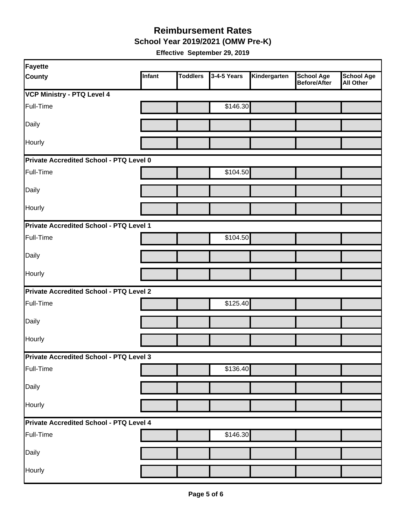**School Year 2019/2021 (OMW Pre-K)**

| Fayette                                        |        |                 |             |              |                                   |                                       |  |  |
|------------------------------------------------|--------|-----------------|-------------|--------------|-----------------------------------|---------------------------------------|--|--|
| <b>County</b>                                  | Infant | <b>Toddlers</b> | 3-4-5 Years | Kindergarten | <b>School Age</b><br>Before/After | <b>School Age</b><br><b>All Other</b> |  |  |
| <b>VCP Ministry - PTQ Level 4</b>              |        |                 |             |              |                                   |                                       |  |  |
| Full-Time                                      |        |                 | \$146.30    |              |                                   |                                       |  |  |
| Daily                                          |        |                 |             |              |                                   |                                       |  |  |
| Hourly                                         |        |                 |             |              |                                   |                                       |  |  |
| Private Accredited School - PTQ Level 0        |        |                 |             |              |                                   |                                       |  |  |
| Full-Time                                      |        |                 | \$104.50    |              |                                   |                                       |  |  |
| Daily                                          |        |                 |             |              |                                   |                                       |  |  |
| Hourly                                         |        |                 |             |              |                                   |                                       |  |  |
| Private Accredited School - PTQ Level 1        |        |                 |             |              |                                   |                                       |  |  |
| Full-Time                                      |        |                 | \$104.50    |              |                                   |                                       |  |  |
| Daily                                          |        |                 |             |              |                                   |                                       |  |  |
| Hourly                                         |        |                 |             |              |                                   |                                       |  |  |
| <b>Private Accredited School - PTQ Level 2</b> |        |                 |             |              |                                   |                                       |  |  |
| Full-Time                                      |        |                 | \$125.40    |              |                                   |                                       |  |  |
| Daily                                          |        |                 |             |              |                                   |                                       |  |  |
| Hourly                                         |        |                 |             |              |                                   |                                       |  |  |
| Private Accredited School - PTQ Level 3        |        |                 |             |              |                                   |                                       |  |  |
| Full-Time                                      |        |                 | \$136.40    |              |                                   |                                       |  |  |
| Daily                                          |        |                 |             |              |                                   |                                       |  |  |
| Hourly                                         |        |                 |             |              |                                   |                                       |  |  |
| Private Accredited School - PTQ Level 4        |        |                 |             |              |                                   |                                       |  |  |
| Full-Time                                      |        |                 | \$146.30    |              |                                   |                                       |  |  |
| Daily                                          |        |                 |             |              |                                   |                                       |  |  |
| Hourly                                         |        |                 |             |              |                                   |                                       |  |  |